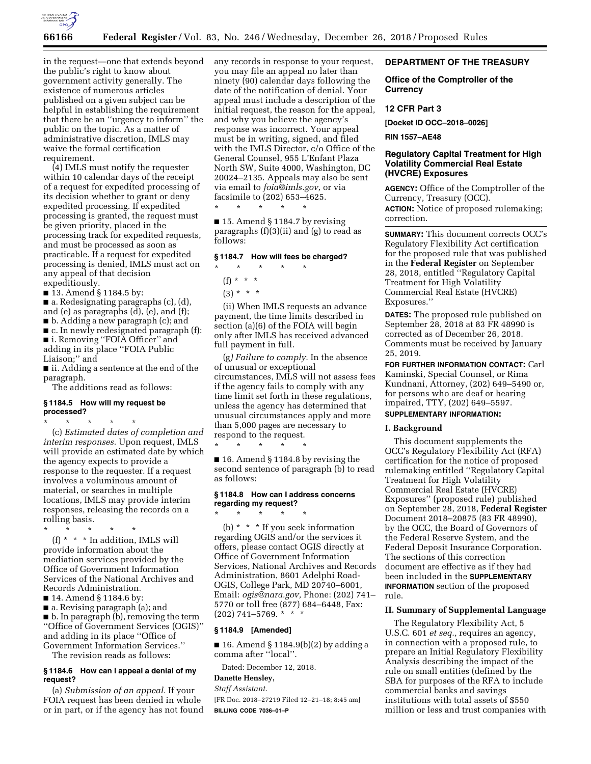

in the request—one that extends beyond the public's right to know about government activity generally. The existence of numerous articles published on a given subject can be helpful in establishing the requirement that there be an ''urgency to inform'' the public on the topic. As a matter of administrative discretion, IMLS may waive the formal certification requirement.

(4) IMLS must notify the requester within 10 calendar days of the receipt of a request for expedited processing of its decision whether to grant or deny expedited processing. If expedited processing is granted, the request must be given priority, placed in the processing track for expedited requests, and must be processed as soon as practicable. If a request for expedited processing is denied, IMLS must act on any appeal of that decision expeditiously.

■ 13. Amend § 1184.5 by:

■ a. Redesignating paragraphs (c), (d),

and (e) as paragraphs (d), (e), and (f);

■ b. Adding a new paragraph (c); and

■ c. In newly redesignated paragraph (f): ■ i. Removing "FOIA Officer" and

adding in its place ''FOIA Public

Liaison;'' and

■ ii. Adding a sentence at the end of the paragraph.

The additions read as follows:

## **§ 1184.5 How will my request be processed?**

\* \* \* \* \*

(c) *Estimated dates of completion and interim responses.* Upon request, IMLS will provide an estimated date by which the agency expects to provide a response to the requester. If a request involves a voluminous amount of material, or searches in multiple locations, IMLS may provide interim responses, releasing the records on a rolling basis.

\* \* \* \* \*

(f) \* \* \* In addition, IMLS will provide information about the mediation services provided by the Office of Government Information Services of the National Archives and Records Administration.

■ 14. Amend § 1184.6 by:

■ a. Revising paragraph (a); and ■ b. In paragraph (b), removing the term ''Office of Government Services (OGIS)'' and adding in its place ''Office of Government Information Services.''

The revision reads as follows:

### **§ 1184.6 How can I appeal a denial of my request?**

(a) *Submission of an appeal.* If your FOIA request has been denied in whole or in part, or if the agency has not found any records in response to your request, you may file an appeal no later than ninety (90) calendar days following the date of the notification of denial. Your appeal must include a description of the initial request, the reason for the appeal, and why you believe the agency's response was incorrect. Your appeal must be in writing, signed, and filed with the IMLS Director, c/o Office of the General Counsel, 955 L'Enfant Plaza North SW, Suite 4000, Washington, DC 20024–2135. Appeals may also be sent via email to *[foia@imls.gov,](mailto:foia@imls.gov)* or via facsimile to (202) 653–4625. \* \* \* \* \*

 $\blacksquare$  15. Amend § 1184.7 by revising paragraphs (f)(3)(ii) and (g) to read as follows:

### **§ 1184.7 How will fees be charged?**

\* \* \* \* \*

 $(f) * * * *$ 

 $(3) * * * *$ 

(ii) When IMLS requests an advance payment, the time limits described in section (a)(6) of the FOIA will begin only after IMLS has received advanced full payment in full.

(g*) Failure to comply.* In the absence of unusual or exceptional circumstances, IMLS will not assess fees if the agency fails to comply with any time limit set forth in these regulations, unless the agency has determined that unusual circumstances apply and more than 5,000 pages are necessary to respond to the request.

\* \* \* \* \*

■ 16. Amend § 1184.8 by revising the second sentence of paragraph (b) to read as follows:

### **§ 1184.8 How can I address concerns regarding my request?**  \* \* \* \* \*

(b) \* \* \* If you seek information regarding OGIS and/or the services it offers, please contact OGIS directly at Office of Government Information Services, National Archives and Records Administration, 8601 Adelphi Road-OGIS, College Park, MD 20740–6001, Email: *[ogis@nara.gov,](mailto:ogis@nara.gov)* Phone: (202) 741– 5770 or toll free (877) 684–6448, Fax: (202) 741–5769. \* \* \*

### **§ 1184.9 [Amended]**

■ 16. Amend § 1184.9(b)(2) by adding a comma after ''local''.

Dated: December 12, 2018.

# **Danette Hensley,**

*Staff Assistant.* 

[FR Doc. 2018–27219 Filed 12–21–18; 8:45 am] **BILLING CODE 7036–01–P** 

# **DEPARTMENT OF THE TREASURY**

# **Office of the Comptroller of the Currency**

### **12 CFR Part 3**

**[Docket ID OCC–2018–0026]** 

**RIN 1557–AE48** 

# **Regulatory Capital Treatment for High Volatility Commercial Real Estate (HVCRE) Exposures**

**AGENCY:** Office of the Comptroller of the Currency, Treasury (OCC).

**ACTION:** Notice of proposed rulemaking; correction.

**SUMMARY:** This document corrects OCC's Regulatory Flexibility Act certification for the proposed rule that was published in the **Federal Register** on September 28, 2018, entitled ''Regulatory Capital Treatment for High Volatility Commercial Real Estate (HVCRE) Exposures.''

**DATES:** The proposed rule published on September 28, 2018 at 83 FR 48990 is corrected as of December 26, 2018. Comments must be received by January 25, 2019.

**FOR FURTHER INFORMATION CONTACT:** Carl Kaminski, Special Counsel, or Rima Kundnani, Attorney, (202) 649–5490 or, for persons who are deaf or hearing impaired, TTY, (202) 649–5597.

# **SUPPLEMENTARY INFORMATION:**

## **I. Background**

This document supplements the OCC's Regulatory Flexibility Act (RFA) certification for the notice of proposed rulemaking entitled ''Regulatory Capital Treatment for High Volatility Commercial Real Estate (HVCRE) Exposures'' (proposed rule) published on September 28, 2018, **Federal Register**  Document 2018–20875 (83 FR 48990), by the OCC, the Board of Governors of the Federal Reserve System, and the Federal Deposit Insurance Corporation. The sections of this correction document are effective as if they had been included in the **SUPPLEMENTARY INFORMATION** section of the proposed rule.

## **II. Summary of Supplemental Language**

The Regulatory Flexibility Act, 5 U.S.C. 601 *et seq.,* requires an agency, in connection with a proposed rule, to prepare an Initial Regulatory Flexibility Analysis describing the impact of the rule on small entities (defined by the SBA for purposes of the RFA to include commercial banks and savings institutions with total assets of \$550 million or less and trust companies with